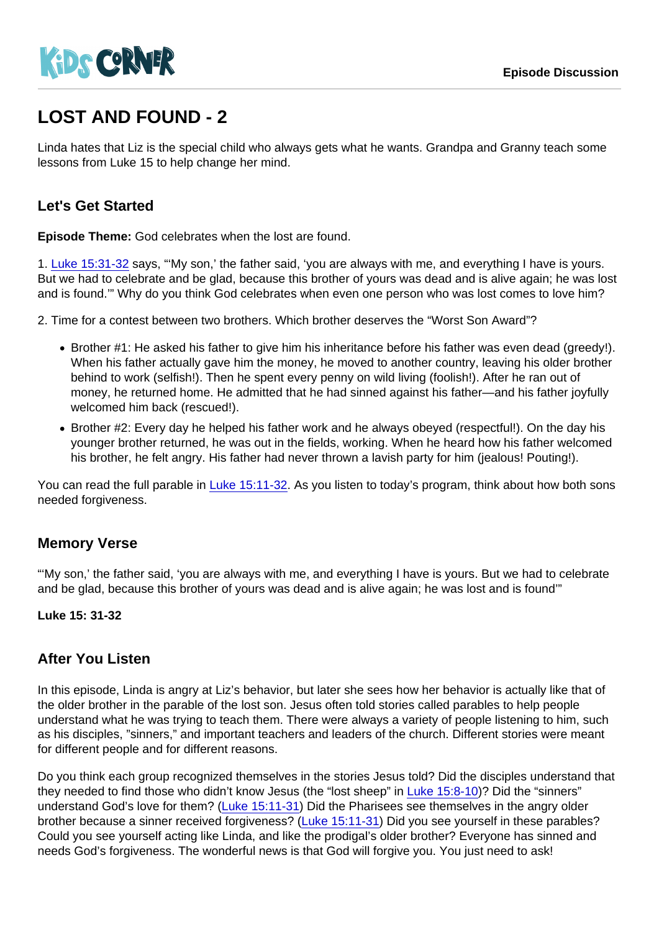# LOST AND FOUND - 2

Linda hates that Liz is the special child who always gets what he wants. Grandpa and Granny teach some lessons from Luke 15 to help change her mind.

# Let's Get Started

Episode Theme: God celebrates when the lost are found.

1. [Luke 15:31-32](https://www.biblegateway.com/passage/?search=Luke 15:31-32) says, "'My son,' the father said, 'you are always with me, and everything I have is yours. But we had to celebrate and be glad, because this brother of yours was dead and is alive again; he was lost and is found.'" Why do you think God celebrates when even one person who was lost comes to love him?

2. Time for a contest between two brothers. Which brother deserves the "Worst Son Award"?

- Brother #1: He asked his father to give him his inheritance before his father was even dead (greedy!). When his father actually gave him the money, he moved to another country, leaving his older brother behind to work (selfish!). Then he spent every penny on wild living (foolish!). After he ran out of money, he returned home. He admitted that he had sinned against his father—and his father joyfully welcomed him back (rescued!).
- Brother #2: Every day he helped his father work and he always obeyed (respectful!). On the day his younger brother returned, he was out in the fields, working. When he heard how his father welcomed his brother, he felt angry. His father had never thrown a lavish party for him (jealous! Pouting!).

You can read the full parable in [Luke 15:11-32.](https://www.biblegateway.com/passage/?search=Luke 15:31-32) As you listen to today's program, think about how both sons needed forgiveness.

# Memory Verse

"'My son,' the father said, 'you are always with me, and everything I have is yours. But we had to celebrate and be glad, because this brother of yours was dead and is alive again; he was lost and is found'"

Luke 15: 31-32

### After You Listen

In this episode, Linda is angry at Liz's behavior, but later she sees how her behavior is actually like that of the older brother in the parable of the lost son. Jesus often told stories called parables to help people understand what he was trying to teach them. There were always a variety of people listening to him, such as his disciples, "sinners," and important teachers and leaders of the church. Different stories were meant for different people and for different reasons.

Do you think each group recognized themselves in the stories Jesus told? Did the disciples understand that they needed to find those who didn't know Jesus (the "lost sheep" in [Luke 15:8-10](https://www.biblegateway.com/passage/?search=Luke 15:8-10))? Did the "sinners" understand God's love for them? [\(Luke 15:11-31\)](https://www.biblegateway.com/passage/?search=Luke 15:11-31) Did the Pharisees see themselves in the angry older brother because a sinner received forgiveness? [\(Luke 15:11-31\)](https://www.biblegateway.com/passage/?search=John 17:9) Did you see yourself in these parables? Could you see yourself acting like Linda, and like the prodigal's older brother? Everyone has sinned and needs God's forgiveness. The wonderful news is that God will forgive you. You just need to ask!